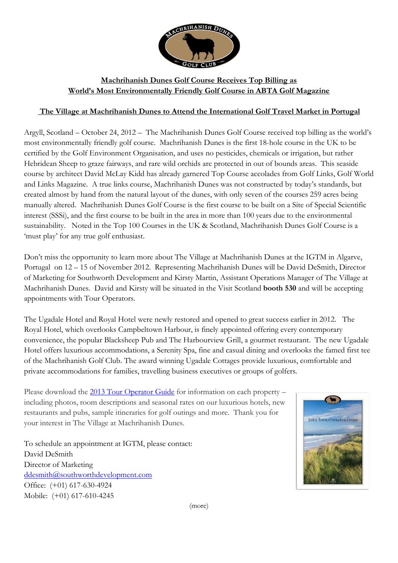

## **Machrihanish Dunes Golf Course Receives Top Billing as World's Most Environmentally Friendly Golf Course in ABTA Golf Magazine**

## **The Village at Machrihanish Dunes to Attend the International Golf Travel Market in Portugal**

Argyll, Scotland – October 24, 2012 – The Machrihanish Dunes Golf Course received top billing as the world's most environmentally friendly golf course. Machrihanish Dunes is the first 18-hole course in the UK to be certified by the Golf Environment Organisation, and uses no pesticides, chemicals or irrigation, but rather Hebridean Sheep to graze fairways, and rare wild orchids are protected in out of bounds areas. This seaside course by architect David McLay Kidd has already garnered Top Course accolades from Golf Links, Golf World and Links Magazine. A true links course, Machrihanish Dunes was not constructed by today's standards, but created almost by hand from the natural layout of the dunes, with only seven of the courses 259 acres being manually altered. Machrihanish Dunes Golf Course is the first course to be built on a Site of Special Scientific interest (SSSi), and the first course to be built in the area in more than 100 years due to the environmental sustainability. Noted in the Top 100 Courses in the UK & Scotland, Machrihanish Dunes Golf Course is a 'must play' for any true golf enthusiast.

Don't miss the opportunity to learn more about The Village at Machrihanish Dunes at the IGTM in Algarve, Portugal on 12 – 15 of November 2012. Representing Machrihanish Dunes will be David DeSmith, Director of Marketing for Southworth Development and Kirsty Martin, Assistant Operations Manager of The Village at Machrihanish Dunes. David and Kirsty will be situated in the Visit Scotland **booth 530** and will be accepting appointments with Tour Operators.

The Ugadale Hotel and Royal Hotel were newly restored and opened to great success earlier in 2012. The Royal Hotel, which overlooks Campbeltown Harbour, is finely appointed offering every contemporary convenience, the popular Blacksheep Pub and The Harbourview Grill, a gourmet restaurant. The new Ugadale Hotel offers luxurious accommodations, a Serenity Spa, fine and casual dining and overlooks the famed first tee of the Machrihanish Golf Club. The award winning Ugadale Cottages provide luxurious, comfortable and private accommodations for families, travelling business executives or groups of golfers.

Please download the 2013 [Tour Operator Guide](http://cts.vresp.com/c/?SouthworthDevelopmen/7ad80528f5/0937b54bd6/34c6ba6219) for information on each property – including photos, room descriptions and seasonal rates on our luxurious hotels, new restaurants and pubs, sample itineraries for golf outings and more. Thank you for your interest in The Village at Machrihanish Dunes.

To schedule an appointment at IGTM, please contact: David DeSmith Director of Marketing [ddesmith@southworthdevelopment.com](mailto:ddesmith@southworthdevelopment.com) Office: (+01) 617-630-4924 Mobile: (+01) 617-610-4245



(more)